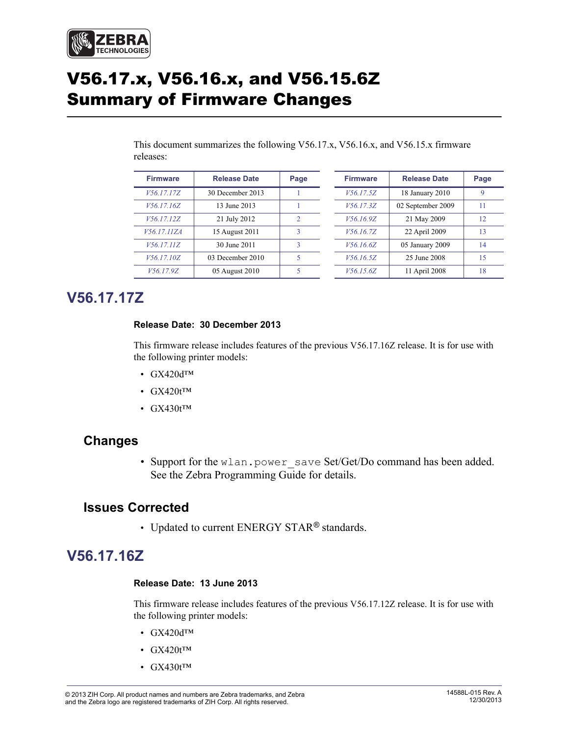

# V56.17.x, V56.16.x, and V56.15.6Z Summary of Firmware Changes

This document summarizes the following V56.17.x, V56.16.x, and V56.15.x firmware releases:

| <b>Firmware</b> | <b>Release Date</b> | Page           | <b>Firmware</b> | <b>Release Date</b> | Page        |
|-----------------|---------------------|----------------|-----------------|---------------------|-------------|
| V56.17.17Z      | 30 December 2013    |                | V56.17.5Z       | 18 January 2010     | $\mathbf Q$ |
| V56.17.16Z      | 13 June 2013        |                | V56.17.3Z       | 02 September 2009   | 11          |
| V56.17.12Z      | 21 July 2012        | $\mathfrak{D}$ | V56.16.9Z       | 21 May 2009         | 12          |
| V56.17.11ZA     | 15 August 2011      |                | V56.16.7Z       | 22 April 2009       | 13          |
| V56.17.11Z      | 30 June 2011        | ٩              | V56.16.6Z       | 05 January 2009     | 14          |
| V56.17.10Z      | 03 December 2010    | 5              | V56.16.5Z       | 25 June 2008        | 15          |
| V56.17.9Z       | 05 August 2010      |                | V56.15.6Z       | 11 April 2008       | 18          |

# <span id="page-0-2"></span>**V56.17.17Z**

#### <span id="page-0-3"></span>**Release Date: 30 December 2013**

This firmware release includes features of the previous V56.17.16Z release. It is for use with the following printer models:

- GX420dTM
- $GX420t^{TM}$
- GX430t<sup>TM</sup>

## **Changes**

• Support for the wlan.power save Set/Get/Do command has been added. See the Zebra Programming Guide for details.

## **Issues Corrected**

• Updated to current ENERGY STAR*®* standards.

# <span id="page-0-0"></span>**V56.17.16Z**

#### <span id="page-0-1"></span>**Release Date: 13 June 2013**

This firmware release includes features of the previous V56.17.12Z release. It is for use with the following printer models:

- GX420dTM
- GX420t<sup>TM</sup>
- GX430t<sup>™</sup>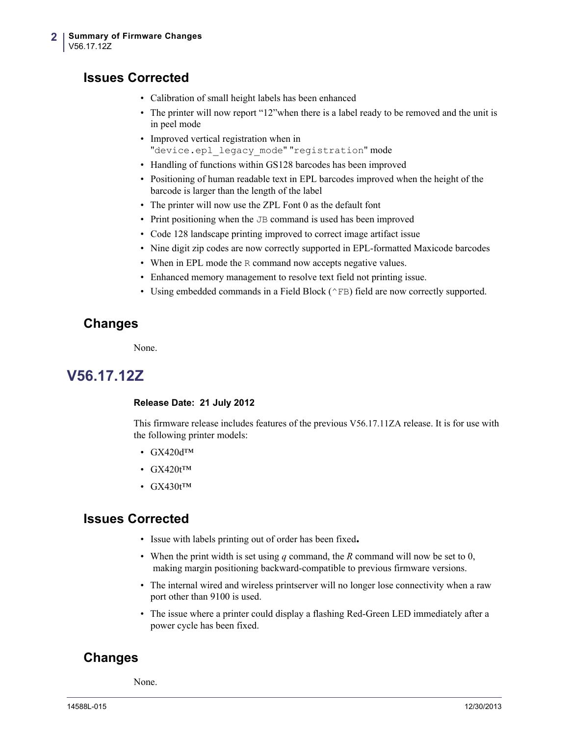## **Issues Corrected**

- Calibration of small height labels has been enhanced
- The printer will now report "12"when there is a label ready to be removed and the unit is in peel mode
- Improved vertical registration when in "device.epl legacy mode" "registration" mode
- Handling of functions within GS128 barcodes has been improved
- Positioning of human readable text in EPL barcodes improved when the height of the barcode is larger than the length of the label
- The printer will now use the ZPL Font 0 as the default font
- Print positioning when the JB command is used has been improved
- Code 128 landscape printing improved to correct image artifact issue
- Nine digit zip codes are now correctly supported in EPL-formatted Maxicode barcodes
- When in EPL mode the R command now accepts negative values.
- Enhanced memory management to resolve text field not printing issue.
- Using embedded commands in a Field Block (^FB) field are now correctly supported.

## **Changes**

None.

# <span id="page-1-0"></span>**V56.17.12Z**

#### <span id="page-1-1"></span>**Release Date: 21 July 2012**

This firmware release includes features of the previous V56.17.11ZA release. It is for use with the following printer models:

- GX420dTM
- $GX420t^{TM}$
- GX430t<sup>TM</sup>

## **Issues Corrected**

- Issue with labels printing out of order has been fixed**.**
- When the print width is set using *q* command, the *R* command will now be set to 0, making margin positioning backward-compatible to previous firmware versions.
- The internal wired and wireless printserver will no longer lose connectivity when a raw port other than 9100 is used.
- The issue where a printer could display a flashing Red-Green LED immediately after a power cycle has been fixed.

## **Changes**

None.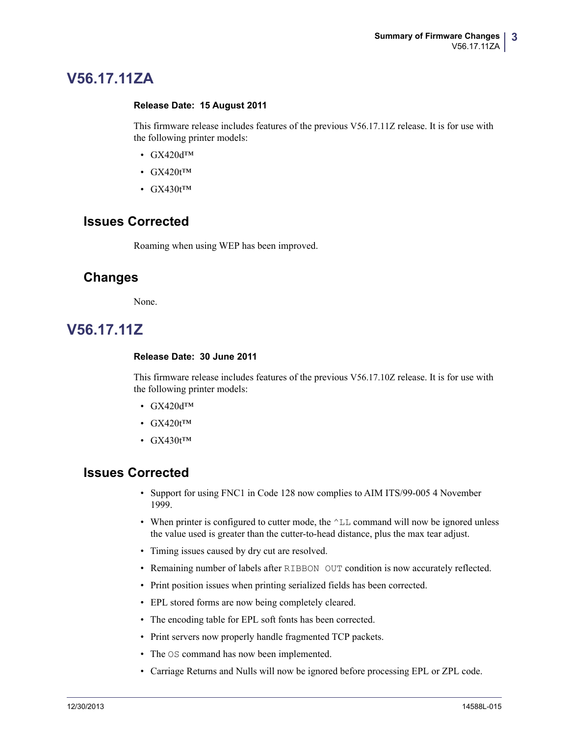# <span id="page-2-0"></span>**V56.17.11ZA**

#### <span id="page-2-1"></span>**Release Date: 15 August 2011**

This firmware release includes features of the previous V56.17.11Z release. It is for use with the following printer models:

- GX420dTM
- $GX420t^{TM}$
- $GX430t^{TM}$

## **Issues Corrected**

Roaming when using WEP has been improved.

## **Changes**

None.

# <span id="page-2-2"></span>**V56.17.11Z**

#### <span id="page-2-3"></span>**Release Date: 30 June 2011**

This firmware release includes features of the previous V56.17.10Z release. It is for use with the following printer models:

- GX420dTM
- $GX420t^{TM}$
- GX430t<sup>TM</sup>

- Support for using FNC1 in Code 128 now complies to AIM ITS/99-005 4 November 1999.
- When printer is configured to cutter mode, the  $\wedge$ LL command will now be ignored unless the value used is greater than the cutter-to-head distance, plus the max tear adjust.
- Timing issues caused by dry cut are resolved.
- Remaining number of labels after RIBBON OUT condition is now accurately reflected.
- Print position issues when printing serialized fields has been corrected.
- EPL stored forms are now being completely cleared.
- The encoding table for EPL soft fonts has been corrected.
- Print servers now properly handle fragmented TCP packets.
- The OS command has now been implemented.
- Carriage Returns and Nulls will now be ignored before processing EPL or ZPL code.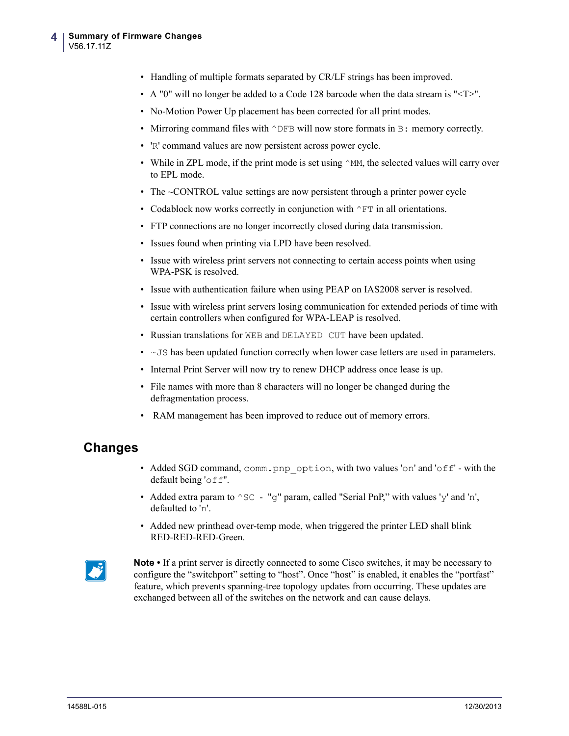- Handling of multiple formats separated by CR/LF strings has been improved.
- A "0" will no longer be added to a Code 128 barcode when the data stream is "<T>".
- No-Motion Power Up placement has been corrected for all print modes.
- Mirroring command files with  $\wedge$  DFB will now store formats in B: memory correctly.
- 'R' command values are now persistent across power cycle.
- While in ZPL mode, if the print mode is set using  $\gamma_M$ , the selected values will carry over to EPL mode.
- The ~CONTROL value settings are now persistent through a printer power cycle
- Codablock now works correctly in conjunction with  $\wedge$ FT in all orientations.
- FTP connections are no longer incorrectly closed during data transmission.
- Issues found when printing via LPD have been resolved.
- Issue with wireless print servers not connecting to certain access points when using WPA-PSK is resolved.
- Issue with authentication failure when using PEAP on IAS2008 server is resolved.
- Issue with wireless print servers losing communication for extended periods of time with certain controllers when configured for WPA-LEAP is resolved.
- Russian translations for WEB and DELAYED CUT have been updated.
- $\bullet$   $\sim$  JS has been updated function correctly when lower case letters are used in parameters.
- Internal Print Server will now try to renew DHCP address once lease is up.
- File names with more than 8 characters will no longer be changed during the defragmentation process.
- RAM management has been improved to reduce out of memory errors.

## **Changes**

- Added SGD command, comm.pnp\_option, with two values 'on' and 'off' with the default being 'off".
- Added extra param to  $\textdegree$  sc "q" param, called "Serial PnP," with values 'y' and 'n', defaulted to 'n'.
- Added new printhead over-temp mode, when triggered the printer LED shall blink RED-RED-RED-Green.



**Note** • If a print server is directly connected to some Cisco switches, it may be necessary to configure the "switchport" setting to "host". Once "host" is enabled, it enables the "portfast" feature, which prevents spanning-tree topology updates from occurring. These updates are exchanged between all of the switches on the network and can cause delays.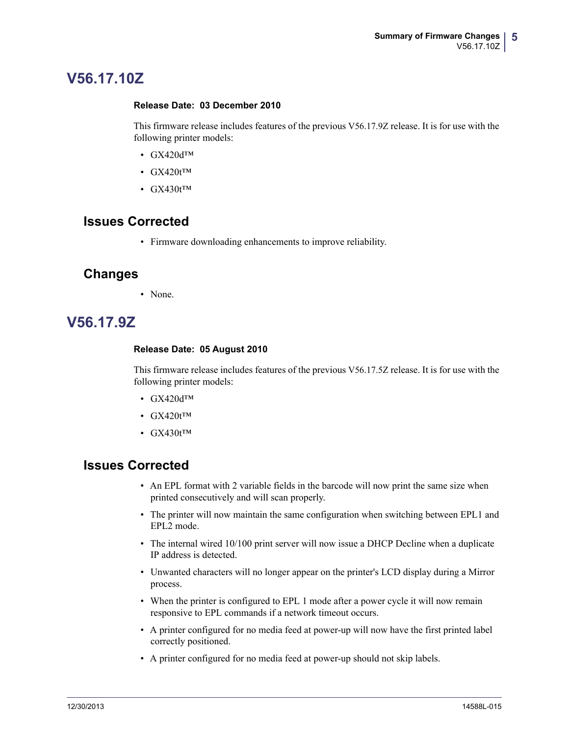# <span id="page-4-0"></span>**V56.17.10Z**

#### <span id="page-4-1"></span>**Release Date: 03 December 2010**

This firmware release includes features of the previous V56.17.9Z release. It is for use with the following printer models:

- GX420dTM
- GX420t<sup>™</sup>
- $GX430t^{TM}$

## **Issues Corrected**

• Firmware downloading enhancements to improve reliability.

### **Changes**

• None.

# <span id="page-4-2"></span>**V56.17.9Z**

#### <span id="page-4-3"></span>**Release Date: 05 August 2010**

This firmware release includes features of the previous V56.17.5Z release. It is for use with the following printer models:

- GX420dTM
- GX420t<sup>TM</sup>
- $GX430t^{TM}$

- An EPL format with 2 variable fields in the barcode will now print the same size when printed consecutively and will scan properly.
- The printer will now maintain the same configuration when switching between EPL1 and EPL2 mode.
- The internal wired 10/100 print server will now issue a DHCP Decline when a duplicate IP address is detected.
- Unwanted characters will no longer appear on the printer's LCD display during a Mirror process.
- When the printer is configured to EPL 1 mode after a power cycle it will now remain responsive to EPL commands if a network timeout occurs.
- A printer configured for no media feed at power-up will now have the first printed label correctly positioned.
- A printer configured for no media feed at power-up should not skip labels.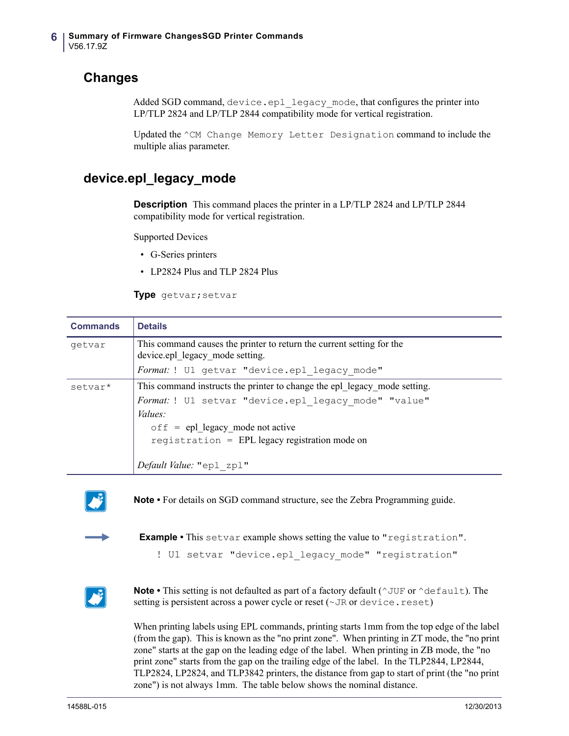## **Changes**

Added SGD command, device.epl legacy mode, that configures the printer into LP/TLP 2824 and LP/TLP 2844 compatibility mode for vertical registration.

Updated the ^CM Change Memory Letter Designation command to include the multiple alias parameter.

## **device.epl\_legacy\_mode**

**Description** This command places the printer in a LP/TLP 2824 and LP/TLP 2844 compatibility mode for vertical registration.

Supported Devices

- G-Series printers
- LP2824 Plus and TLP 2824 Plus

**Type** getvar;setvar

| <b>Commands</b> | <b>Details</b>                                                                                           |  |
|-----------------|----------------------------------------------------------------------------------------------------------|--|
| getvar          | This command causes the printer to return the current setting for the<br>device.epl legacy mode setting. |  |
|                 | Format: ! U1 getvar "device.epl legacy mode"                                                             |  |
| setvar*         | This command instructs the printer to change the epl legacy mode setting.                                |  |
|                 | Format: ! U1 setvar "device.epl legacy mode" "value"                                                     |  |
|                 | Values:                                                                                                  |  |
|                 | $\circ$ f f = epl legacy mode not active                                                                 |  |
|                 | registration = EPL legacy registration mode on                                                           |  |
|                 | Default Value: "epl zpl"                                                                                 |  |



**Note •** For details on SGD command structure, see the Zebra Programming guide.



**Example •** This setvar example shows setting the value to "registration".

! U1 setvar "device.epl legacy mode" "registration"



**Note** • This setting is not defaulted as part of a factory default ( $\gamma$ JUF or  $\gamma$ default). The setting is persistent across a power cycle or reset ( $\nu$ JR or device.reset)

When printing labels using EPL commands, printing starts 1mm from the top edge of the label (from the gap). This is known as the "no print zone". When printing in ZT mode, the "no print zone" starts at the gap on the leading edge of the label. When printing in ZB mode, the "no print zone" starts from the gap on the trailing edge of the label. In the TLP2844, LP2844, TLP2824, LP2824, and TLP3842 printers, the distance from gap to start of print (the "no print zone") is not always 1mm. The table below shows the nominal distance.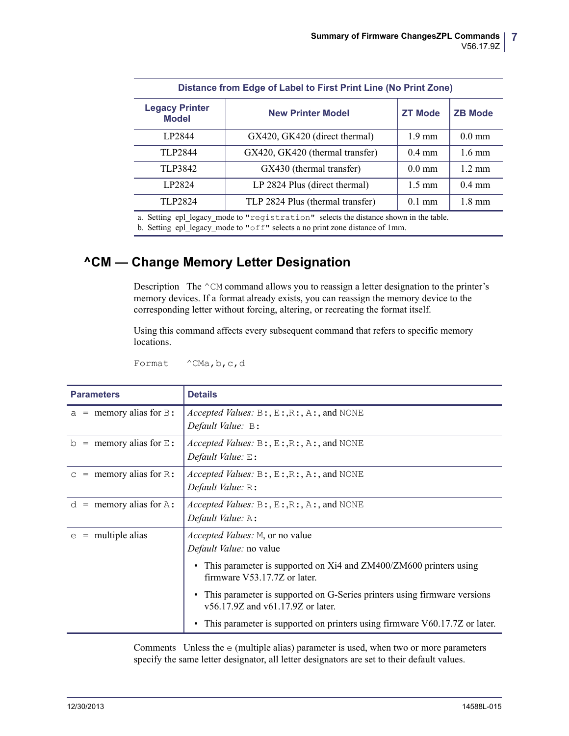| Distance from Edge of Label to First Print Line (No Print Zone)   |                                  |                  |                  |  |
|-------------------------------------------------------------------|----------------------------------|------------------|------------------|--|
| <b>Legacy Printer</b><br><b>New Printer Model</b><br><b>Model</b> |                                  | <b>ZT Mode</b>   | <b>ZB Mode</b>   |  |
| LP2844                                                            | GX420, GK420 (direct thermal)    | $1.9 \text{ mm}$ | $0.0$ mm         |  |
| TLP2844                                                           | GX420, GK420 (thermal transfer)  | $0.4$ mm         | $16 \text{ mm}$  |  |
| TLP3842                                                           | GX430 (thermal transfer)         | $0.0 \text{ mm}$ | $12 \text{ mm}$  |  |
| LP2824                                                            | LP 2824 Plus (direct thermal)    | $1.5 \text{ mm}$ | $0.4 \text{ mm}$ |  |
| TLP2824                                                           | TLP 2824 Plus (thermal transfer) | $0.1$ mm         | $1.8 \text{ mm}$ |  |

a. Setting epl\_legacy\_mode to "registration" selects the distance shown in the table.

b. Setting epl legacy mode to "off" selects a no print zone distance of 1mm.

# **^CM — Change Memory Letter Designation**

Description The ^CM command allows you to reassign a letter designation to the printer's memory devices. If a format already exists, you can reassign the memory device to the corresponding letter without forcing, altering, or recreating the format itself.

Using this command affects every subsequent command that refers to specific memory locations.

Format ^CMa, b, c, d

| <b>Parameters</b>                          | <b>Details</b>                                                                                                                                                                              |
|--------------------------------------------|---------------------------------------------------------------------------------------------------------------------------------------------------------------------------------------------|
| $a =$ memory alias for B:                  | <i>Accepted Values:</i> $B: E: R: A:$ , $A:$ , and NONE<br>Default Value: B:                                                                                                                |
| $=$ memory alias for $E$ :<br>$\mathsf{D}$ | <i>Accepted Values:</i> $B: E: R: A:$ , $A:$ , and NONE<br>Default Value: $E$ :                                                                                                             |
| $=$ memory alias for R:<br>$\mathsf{C}$    | <i>Accepted Values:</i> $B: E: R: A:$ , $A:$ , and NONE<br>Default Value: $R$ :                                                                                                             |
| $=$ memory alias for $A$ :<br>d            | <i>Accepted Values:</i> $B: E: R: A:$ , $A:$ , and NONE<br>Default Value: A:                                                                                                                |
| $=$ multiple alias<br>e                    | <i>Accepted Values:</i> M, or no value<br>Default Value: no value<br>• This parameter is supported on Xi4 and ZM400/ZM600 printers using<br>firmware V53.17.7Z or later.                    |
|                                            | This parameter is supported on G-Series printers using firmware versions<br>v56.17.9Z and v61.17.9Z or later.<br>This parameter is supported on printers using firmware V60.17.7Z or later. |

Comments Unless the e (multiple alias) parameter is used, when two or more parameters specify the same letter designator, all letter designators are set to their default values.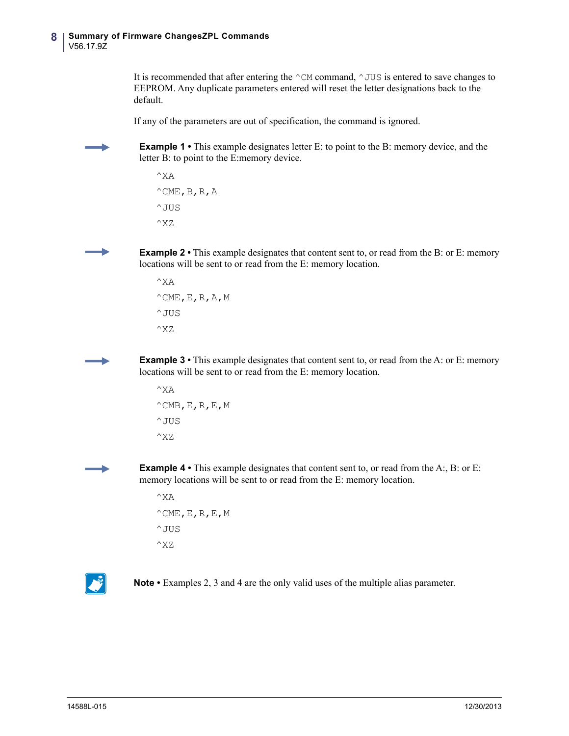It is recommended that after entering the  $\sim$ CM command,  $\sim$  JUS is entered to save changes to EEPROM. Any duplicate parameters entered will reset the letter designations back to the default.

If any of the parameters are out of specification, the command is ignored.

**Example 1** • This example designates letter E: to point to the B: memory device, and the letter B: to point to the E:memory device.

```
^{\wedge}XA
^{\wedge}CME, B, R, A
^JUS
^XZ
```
**Example 2** • This example designates that content sent to, or read from the B: or E: memory locations will be sent to or read from the E: memory location.

 $^{\wedge}X$ A  $^{\wedge}$ CME, E, R, A, M  $^{\wedge}$  JUS ^XZ

**Example 3** • This example designates that content sent to, or read from the A: or E: memory locations will be sent to or read from the E: memory location.

 $^{\wedge}X$ A  $^{\wedge}$ CMB, E, R, E, M ^JUS ^XZ

**Example 4** • This example designates that content sent to, or read from the A:, B: or E: memory locations will be sent to or read from the E: memory location.

```
^XA
^{\wedge}CME,E,R,E,M
^{\wedge} JUS
^XZ
```


**Note •** Examples 2, 3 and 4 are the only valid uses of the multiple alias parameter.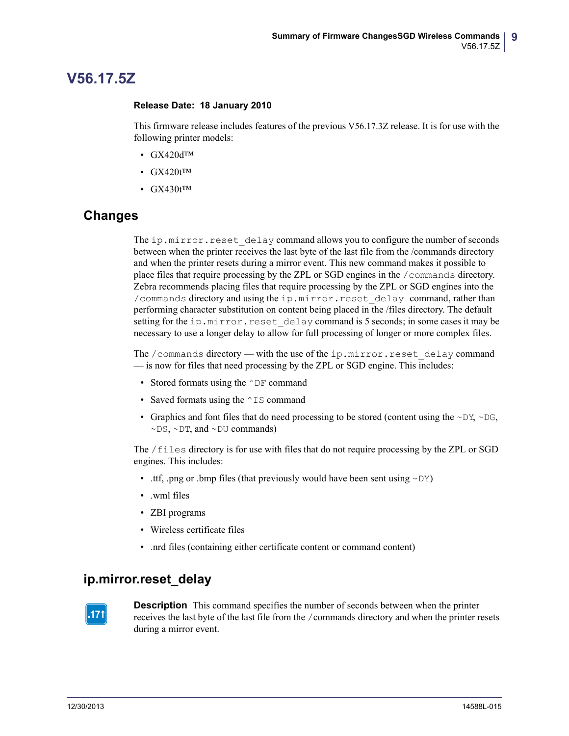# <span id="page-8-0"></span>**V56.17.5Z**

#### <span id="page-8-1"></span>**Release Date: 18 January 2010**

This firmware release includes features of the previous V56.17.3Z release. It is for use with the following printer models:

- GX420dTM
- $GX420t^{TM}$
- $GX430t^{TM}$

## **Changes**

The ip.mirror.reset delay command allows you to configure the number of seconds between when the printer receives the last byte of the last file from the /commands directory and when the printer resets during a mirror event. This new command makes it possible to place files that require processing by the ZPL or SGD engines in the /commands directory. Zebra recommends placing files that require processing by the ZPL or SGD engines into the /commands directory and using the ip.mirror.reset\_delay command, rather than performing character substitution on content being placed in the /files directory. The default setting for the ip.mirror.reset delay command is 5 seconds; in some cases it may be necessary to use a longer delay to allow for full processing of longer or more complex files.

The /commands directory — with the use of the ip.mirror.reset\_delay command — is now for files that need processing by the ZPL or SGD engine. This includes:

- Stored formats using the  $\wedge$ DF command
- Saved formats using the  $\sim$  IS command
- Graphics and font files that do need processing to be stored (content using the  $\sim$ DY,  $\sim$ DG,  $\sim$ DS,  $\sim$ DT, and  $\sim$ DU commands)

The /files directory is for use with files that do not require processing by the ZPL or SGD engines. This includes:

- .ttf, .png or .bmp files (that previously would have been sent using  $\sim DY$ )
- .wml files
- ZBI programs
- Wireless certificate files
- .nrd files (containing either certificate content or command content)

## **ip.mirror.reset\_delay**



**Description** This command specifies the number of seconds between when the printer receives the last byte of the last file from the /commands directory and when the printer resets during a mirror event.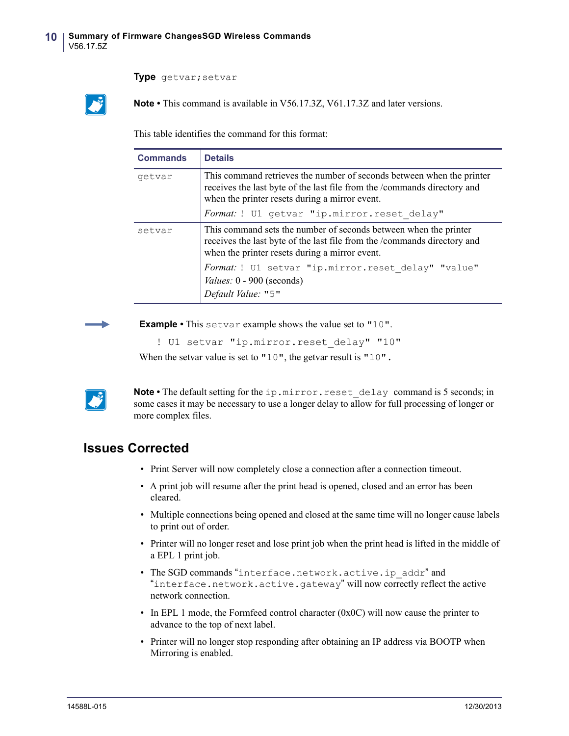#### **Type** getvar;setvar

**Note •** This command is available in V56.17.3Z, V61.17.3Z and later versions.

This table identifies the command for this format:

| <b>Commands</b> | <b>Details</b>                                                                                                                                                                                                                                        |  |
|-----------------|-------------------------------------------------------------------------------------------------------------------------------------------------------------------------------------------------------------------------------------------------------|--|
| getvar          | This command retrieves the number of seconds between when the printer<br>receives the last byte of the last file from the /commands directory and<br>when the printer resets during a mirror event.                                                   |  |
|                 | Format: ! U1 getvar "ip.mirror.reset delay"                                                                                                                                                                                                           |  |
| setvar          | This command sets the number of seconds between when the printer<br>receives the last byte of the last file from the /commands directory and<br>when the printer resets during a mirror event.<br>Format: ! U1 setvar "ip.mirror.reset delay" "value" |  |
|                 | <i>Values:</i> 0 - 900 (seconds)<br>Default Value: "5"                                                                                                                                                                                                |  |

**Example •** This setvar example shows the value set to "10".

```
! U1 setvar "ip.mirror.reset delay" "10"
```
When the setvar value is set to "10", the getvar result is "10".



**Note** • The default setting for the ip.mirror.reset delay command is 5 seconds; in some cases it may be necessary to use a longer delay to allow for full processing of longer or more complex files.

- Print Server will now completely close a connection after a connection timeout.
- A print job will resume after the print head is opened, closed and an error has been cleared.
- Multiple connections being opened and closed at the same time will no longer cause labels to print out of order.
- Printer will no longer reset and lose print job when the print head is lifted in the middle of a EPL 1 print job.
- The SGD commands "interface.network.active.ip\_addr" and "interface.network.active.gateway" will now correctly reflect the active network connection.
- In EPL 1 mode, the Formfeed control character (0x0C) will now cause the printer to advance to the top of next label.
- Printer will no longer stop responding after obtaining an IP address via BOOTP when Mirroring is enabled.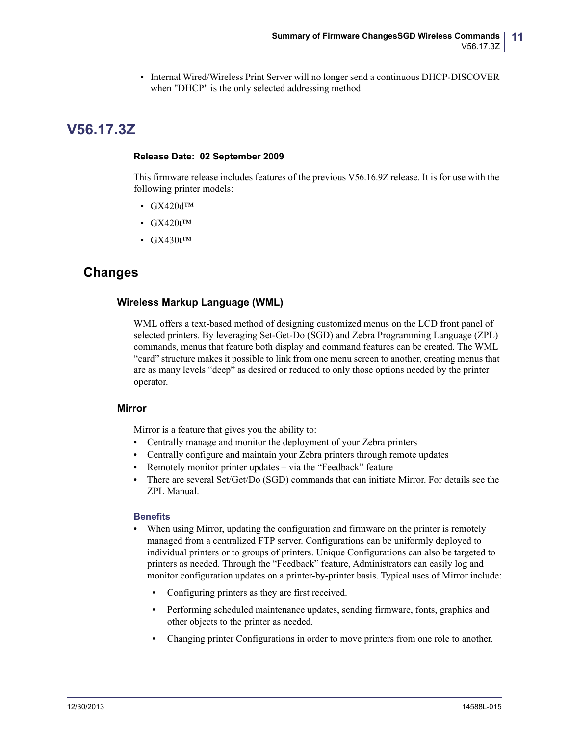• Internal Wired/Wireless Print Server will no longer send a continuous DHCP-DISCOVER when "DHCP" is the only selected addressing method.

# <span id="page-10-0"></span>**V56.17.3Z**

#### <span id="page-10-1"></span>**Release Date: 02 September 2009**

This firmware release includes features of the previous V56.16.9Z release. It is for use with the following printer models:

- GX420dTM
- GX420t<sup>TM</sup>
- GX430t<sup>™</sup>

## **Changes**

### **Wireless Markup Language (WML)**

WML offers a text-based method of designing customized menus on the LCD front panel of selected printers. By leveraging Set-Get-Do (SGD) and Zebra Programming Language (ZPL) commands, menus that feature both display and command features can be created. The WML "card" structure makes it possible to link from one menu screen to another, creating menus that are as many levels "deep" as desired or reduced to only those options needed by the printer operator.

### **Mirror**

Mirror is a feature that gives you the ability to:

- **•** Centrally manage and monitor the deployment of your Zebra printers
- **•** Centrally configure and maintain your Zebra printers through remote updates
- **•** Remotely monitor printer updates via the "Feedback" feature
- **•** There are several Set/Get/Do (SGD) commands that can initiate Mirror. For details see the ZPL Manual.

### **Benefits**

- **•** When using Mirror, updating the configuration and firmware on the printer is remotely managed from a centralized FTP server. Configurations can be uniformly deployed to individual printers or to groups of printers. Unique Configurations can also be targeted to printers as needed. Through the "Feedback" feature, Administrators can easily log and monitor configuration updates on a printer-by-printer basis. Typical uses of Mirror include:
	- Configuring printers as they are first received.
	- Performing scheduled maintenance updates, sending firmware, fonts, graphics and other objects to the printer as needed.
	- Changing printer Configurations in order to move printers from one role to another.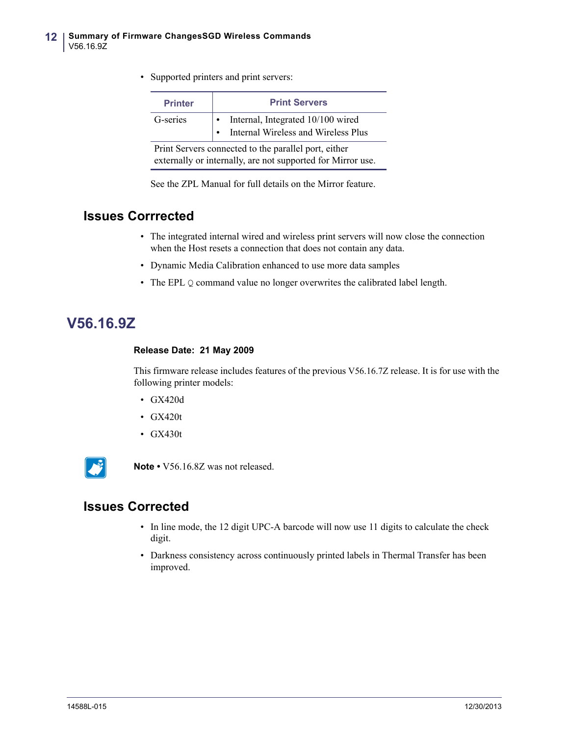• Supported printers and print servers:

| <b>Printer</b>                                                                                                      | <b>Print Servers</b>                                                     |  |  |
|---------------------------------------------------------------------------------------------------------------------|--------------------------------------------------------------------------|--|--|
| G-series                                                                                                            | Internal, Integrated 10/100 wired<br>Internal Wireless and Wireless Plus |  |  |
| Print Servers connected to the parallel port, either<br>externally or internally, are not supported for Mirror use. |                                                                          |  |  |

See the ZPL Manual for full details on the Mirror feature.

## **Issues Corrrected**

- The integrated internal wired and wireless print servers will now close the connection when the Host resets a connection that does not contain any data.
- Dynamic Media Calibration enhanced to use more data samples
- The EPL Q command value no longer overwrites the calibrated label length.

# <span id="page-11-0"></span>**V56.16.9Z**

### <span id="page-11-1"></span>**Release Date: 21 May 2009**

This firmware release includes features of the previous V56.16.7Z release. It is for use with the following printer models:

- GX420d
- GX420t
- GX430t



**Note •** V56.16.8Z was not released.

- In line mode, the 12 digit UPC-A barcode will now use 11 digits to calculate the check digit.
- Darkness consistency across continuously printed labels in Thermal Transfer has been improved.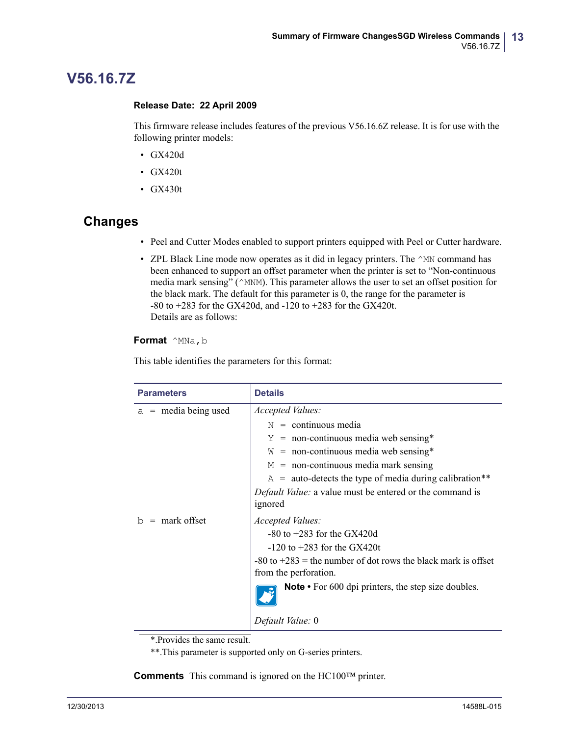# <span id="page-12-0"></span>**V56.16.7Z**

### <span id="page-12-1"></span>**Release Date: 22 April 2009**

This firmware release includes features of the previous V56.16.6Z release. It is for use with the following printer models:

- GX420d
- GX420t
- GX430t

## **Changes**

- Peel and Cutter Modes enabled to support printers equipped with Peel or Cutter hardware.
- ZPL Black Line mode now operates as it did in legacy printers. The  $^{\wedge}$ MN command has been enhanced to support an offset parameter when the printer is set to "Non-continuous media mark sensing" (^MNM). This parameter allows the user to set an offset position for the black mark. The default for this parameter is 0, the range for the parameter is -80 to +283 for the GX420d, and -120 to +283 for the GX420t. Details are as follows:

### **Format**  $^{\wedge}$ MNa, b

This table identifies the parameters for this format:

| <b>Parameters</b>      | <b>Details</b>                                                                             |
|------------------------|--------------------------------------------------------------------------------------------|
| $a =$ media being used | Accepted Values:                                                                           |
|                        | $N =$ continuous media                                                                     |
|                        | $Y = \text{non-continuous media web sensing*}$                                             |
|                        | $W =$ non-continuous media web sensing*                                                    |
|                        | $M =$ non-continuous media mark sensing                                                    |
|                        | $A =$ auto-detects the type of media during calibration**                                  |
|                        | <i>Default Value:</i> a value must be entered or the command is                            |
|                        | ignored                                                                                    |
| $b =$ mark offset      | Accepted Values:                                                                           |
|                        | $-80$ to $+283$ for the GX420d                                                             |
|                        | $-120$ to $+283$ for the GX420t                                                            |
|                        | $-80$ to $+283$ = the number of dot rows the black mark is offset<br>from the perforation. |
|                        |                                                                                            |
|                        | <b>Note</b> • For 600 dpi printers, the step size doubles.                                 |
|                        | Default Value: 0                                                                           |

\*.Provides the same result.

\*\*.This parameter is supported only on G-series printers.

**Comments** This command is ignored on the HC100™ printer.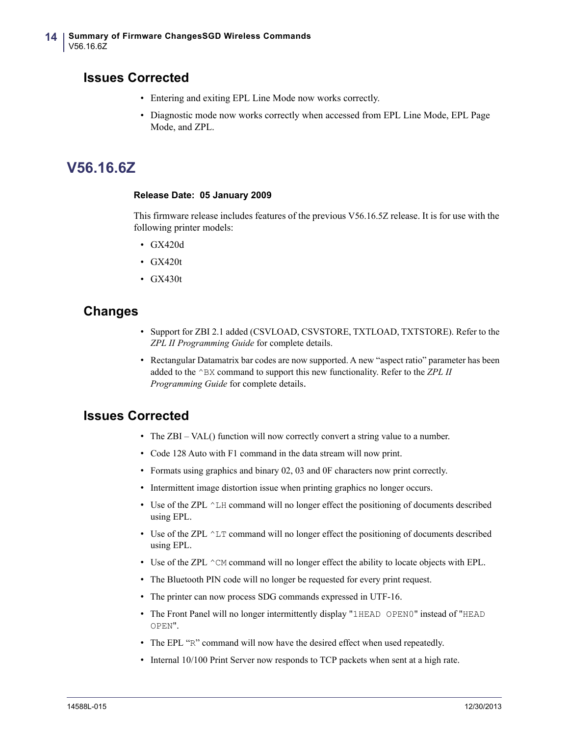## **Issues Corrected**

- Entering and exiting EPL Line Mode now works correctly.
- Diagnostic mode now works correctly when accessed from EPL Line Mode, EPL Page Mode, and ZPL.

# <span id="page-13-0"></span>**V56.16.6Z**

#### <span id="page-13-1"></span>**Release Date: 05 January 2009**

This firmware release includes features of the previous V56.16.5Z release. It is for use with the following printer models:

- GX420d
- GX420t
- GX430t

## **Changes**

- Support for ZBI 2.1 added (CSVLOAD, CSVSTORE, TXTLOAD, TXTSTORE). Refer to the *ZPL II Programming Guide* for complete details.
- Rectangular Datamatrix bar codes are now supported. A new "aspect ratio" parameter has been added to the ^BX command to support this new functionality. Refer to the *ZPL II Programming Guide* for complete details.

- The ZBI VAL() function will now correctly convert a string value to a number.
- Code 128 Auto with F1 command in the data stream will now print.
- Formats using graphics and binary 02, 03 and 0F characters now print correctly.
- Intermittent image distortion issue when printing graphics no longer occurs.
- Use of the ZPL  $^{\wedge}$  LH command will no longer effect the positioning of documents described using EPL.
- Use of the ZPL  $\wedge$ LT command will no longer effect the positioning of documents described using EPL.
- Use of the ZPL  $\hat{C}$ M command will no longer effect the ability to locate objects with EPL.
- The Bluetooth PIN code will no longer be requested for every print request.
- The printer can now process SDG commands expressed in UTF-16.
- The Front Panel will no longer intermittently display "1HEAD OPEN0" instead of "HEAD OPEN".
- The EPL "R" command will now have the desired effect when used repeatedly.
- Internal 10/100 Print Server now responds to TCP packets when sent at a high rate.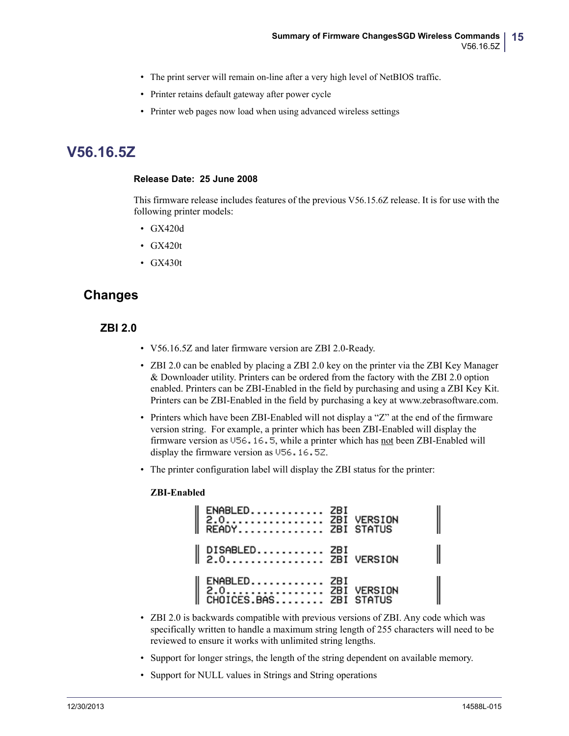- The print server will remain on-line after a very high level of NetBIOS traffic.
- Printer retains default gateway after power cycle
- Printer web pages now load when using advanced wireless settings

# <span id="page-14-0"></span>**V56.16.5Z**

#### <span id="page-14-1"></span>**Release Date: 25 June 2008**

This firmware release includes features of the previous V56.15.6Z release. It is for use with the following printer models:

- GX420d
- GX420t
- GX430t

## **Changes**

### **ZBI 2.0**

- V56.16.5Z and later firmware version are ZBI 2.0-Ready.
- ZBI 2.0 can be enabled by placing a ZBI 2.0 key on the printer via the ZBI Key Manager & Downloader utility. Printers can be ordered from the factory with the ZBI 2.0 option enabled. Printers can be ZBI-Enabled in the field by purchasing and using a ZBI Key Kit. Printers can be ZBI-Enabled in the field by purchasing a key at www.zebrasoftware.com.
- Printers which have been ZBI-Enabled will not display a "Z" at the end of the firmware version string. For example, a printer which has been ZBI-Enabled will display the firmware version as V56.16.5, while a printer which has not been ZBI-Enabled will display the firmware version as V56.16.5Z.
- The printer configuration label will display the ZBI status for the printer:

#### **ZBI-Enabled**

| ENABLED ZBI<br>2.0 ZBI VERSION<br>READY ZBI STATUS           |  |
|--------------------------------------------------------------|--|
| $\parallel$ DISABLED ZBI<br>$\parallel$ 2.0 ZBI VERSION      |  |
| ENABLED ZBI<br>  2.0 ZBI VERSION<br>  CHOICES.BAS ZBI STATUS |  |

- ZBI 2.0 is backwards compatible with previous versions of ZBI. Any code which was specifically written to handle a maximum string length of 255 characters will need to be reviewed to ensure it works with unlimited string lengths.
- Support for longer strings, the length of the string dependent on available memory.
- Support for NULL values in Strings and String operations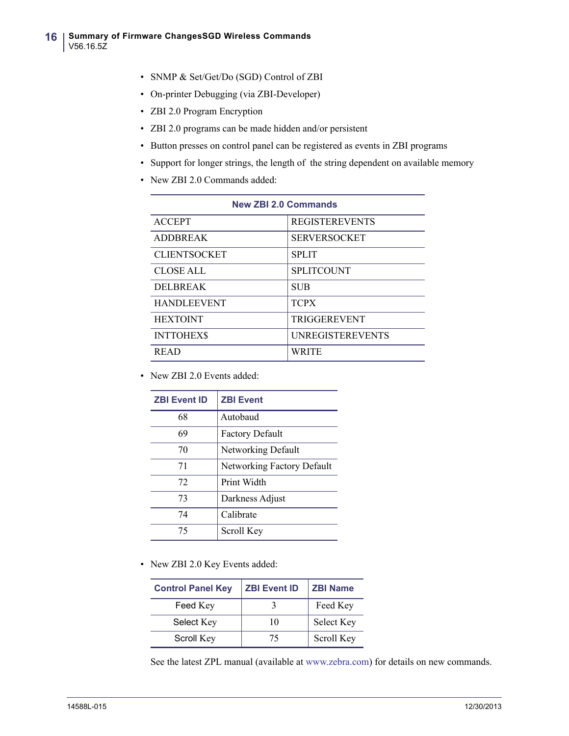- SNMP & Set/Get/Do (SGD) Control of ZBI
- On-printer Debugging (via ZBI-Developer)
- ZBI 2.0 Program Encryption
- ZBI 2.0 programs can be made hidden and/or persistent
- Button presses on control panel can be registered as events in ZBI programs
- Support for longer strings, the length of the string dependent on available memory
- New ZBI 2.0 Commands added:

| <b>New ZBI 2.0 Commands</b> |                         |  |  |
|-----------------------------|-------------------------|--|--|
| <b>ACCEPT</b>               | <b>REGISTEREVENTS</b>   |  |  |
| <b>ADDBREAK</b>             | <b>SERVERSOCKET</b>     |  |  |
| <b>CLIENTSOCKET</b>         | <b>SPLIT</b>            |  |  |
| <b>CLOSE ALL</b>            | <b>SPLITCOUNT</b>       |  |  |
| <b>DELBREAK</b>             | <b>SUB</b>              |  |  |
| <b>HANDLEEVENT</b>          | <b>TCPX</b>             |  |  |
| <b>HEXTOINT</b>             | <b>TRIGGEREVENT</b>     |  |  |
| <b>INTTOHEXS</b>            | <b>UNREGISTEREVENTS</b> |  |  |
| <b>READ</b>                 | <b>WRITE</b>            |  |  |

• New ZBI 2.0 Events added:

| <b>ZBI Event ID</b> | <b>ZBI Event</b>           |  |
|---------------------|----------------------------|--|
| 68                  | Autobaud                   |  |
| 69                  | <b>Factory Default</b>     |  |
| 70                  | Networking Default         |  |
| 71                  | Networking Factory Default |  |
| 72                  | Print Width                |  |
| 73                  | Darkness Adjust            |  |
| 74                  | Calibrate                  |  |
| 75                  | Scroll Key                 |  |

• New ZBI 2.0 Key Events added:

| <b>Control Panel Key</b> | <b>ZBI Event ID</b> | <b>ZBI Name</b> |
|--------------------------|---------------------|-----------------|
| Feed Key                 |                     | Feed Key        |
| Select Key               | 10                  | Select Key      |
| Scroll Key               | 75                  | Scroll Key      |

See the latest ZPL manual (available at www.zebra.com) for details on new commands.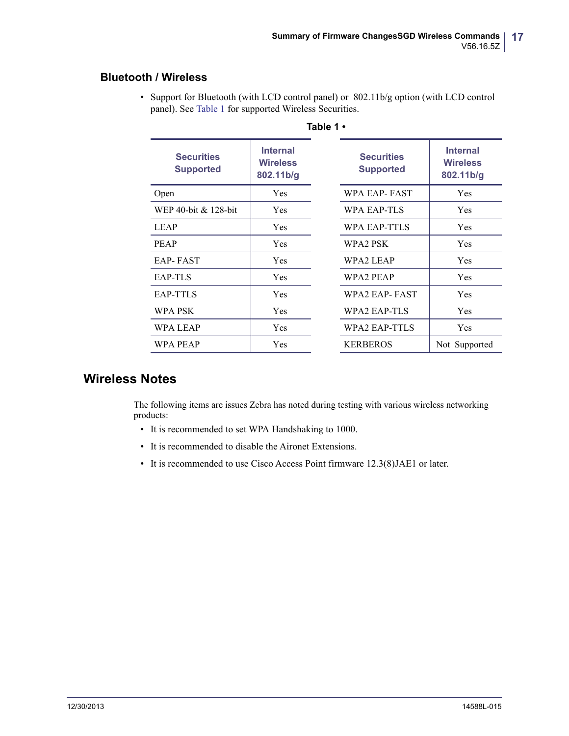### **Bluetooth / Wireless**

<span id="page-16-0"></span>

| Table 1 •                                                                                |            |                                       |                                                 |  |
|------------------------------------------------------------------------------------------|------------|---------------------------------------|-------------------------------------------------|--|
| <b>Internal</b><br><b>Securities</b><br><b>Wireless</b><br><b>Supported</b><br>802.11b/g |            | <b>Securities</b><br><b>Supported</b> | <b>Internal</b><br><b>Wireless</b><br>802.11b/g |  |
| Open                                                                                     | Yes        | WPA EAP-FAST                          | Yes                                             |  |
| WEP 40-bit & 128-bit                                                                     | Yes        | WPA EAP-TLS                           | Yes                                             |  |
| <b>LEAP</b>                                                                              | <b>Yes</b> | WPA EAP-TTLS                          | Yes                                             |  |
| <b>PEAP</b>                                                                              | Yes        | WPA2 PSK                              | Yes                                             |  |
| <b>EAP-FAST</b>                                                                          | Yes        | WPA2 LEAP                             | Yes                                             |  |
| EAP-TLS                                                                                  | Yes        | WPA2 PEAP                             | Yes                                             |  |
| <b>EAP-TTLS</b>                                                                          | Yes        | WPA2 EAP-FAST                         | Yes                                             |  |
| WPA PSK                                                                                  | Yes        | WPA2 EAP-TLS                          | Yes                                             |  |
| WPA LEAP                                                                                 | Yes        | WPA2 EAP-TTLS                         | Yes                                             |  |
| WPA PEAP                                                                                 | Yes        | <b>KERBEROS</b>                       | Not Supported                                   |  |

• Support for Bluetooth (with LCD control panel) or 802.11b/g option (with LCD control panel). See [Table 1](#page-16-0) for supported Wireless Securities.

# **Wireless Notes**

The following items are issues Zebra has noted during testing with various wireless networking products:

- It is recommended to set WPA Handshaking to 1000.
- It is recommended to disable the Aironet Extensions.
- It is recommended to use Cisco Access Point firmware 12.3(8)JAE1 or later.